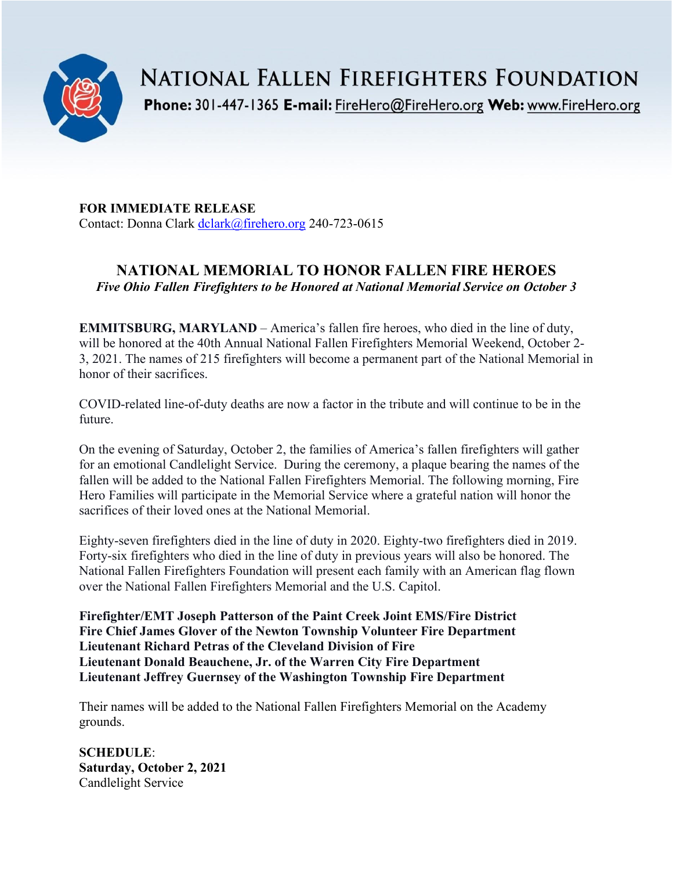

NATIONAL FALLEN FIREFIGHTERS FOUNDATION

Phone: 301-447-1365 E-mail: FireHero@FireHero.org Web: www.FireHero.org

**FOR IMMEDIATE RELEASE** Contact: Donna Clark [dclark@firehero.org](mailto:dclark@firehero.org) 240-723-0615

## **NATIONAL MEMORIAL TO HONOR FALLEN FIRE HEROES** *Five Ohio Fallen Firefighters to be Honored at National Memorial Service on October 3*

**EMMITSBURG, MARYLAND** – America's fallen fire heroes, who died in the line of duty, will be honored at the 40th Annual National Fallen Firefighters Memorial Weekend, October 2- 3, 2021. The names of 215 firefighters will become a permanent part of the National Memorial in honor of their sacrifices.

COVID-related line-of-duty deaths are now a factor in the tribute and will continue to be in the future.

On the evening of Saturday, October 2, the families of America's fallen firefighters will gather for an emotional Candlelight Service. During the ceremony, a plaque bearing the names of the fallen will be added to the National Fallen Firefighters Memorial. The following morning, Fire Hero Families will participate in the Memorial Service where a grateful nation will honor the sacrifices of their loved ones at the National Memorial.

Eighty-seven firefighters died in the line of duty in 2020. Eighty-two firefighters died in 2019. Forty-six firefighters who died in the line of duty in previous years will also be honored. The National Fallen Firefighters Foundation will present each family with an American flag flown over the National Fallen Firefighters Memorial and the U.S. Capitol.

**Firefighter/EMT Joseph Patterson of the Paint Creek Joint EMS/Fire District Fire Chief James Glover of the Newton Township Volunteer Fire Department Lieutenant Richard Petras of the Cleveland Division of Fire Lieutenant Donald Beauchene, Jr. of the Warren City Fire Department Lieutenant Jeffrey Guernsey of the Washington Township Fire Department**

Their names will be added to the National Fallen Firefighters Memorial on the Academy grounds.

**SCHEDULE**: **Saturday, October 2, 2021** Candlelight Service